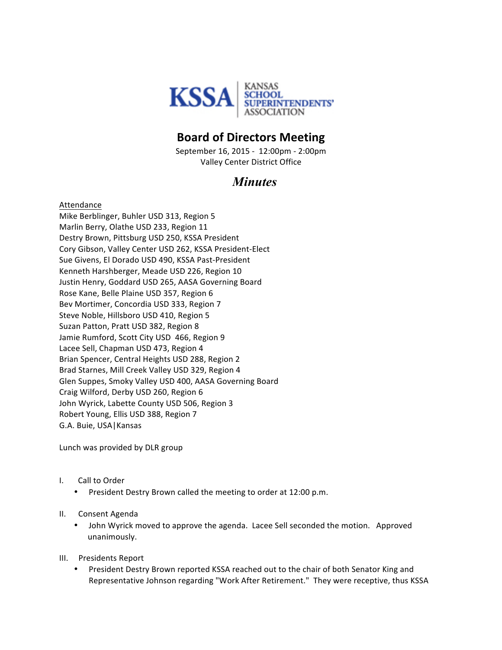

## **Board of Directors Meeting**

September 16, 2015 - 12:00pm - 2:00pm Valley Center District Office

## *Minutes*

Attendance Mike Berblinger, Buhler USD 313, Region 5 Marlin Berry, Olathe USD 233, Region 11 Destry Brown, Pittsburg USD 250, KSSA President Cory Gibson, Valley Center USD 262, KSSA President-Elect Sue Givens, El Dorado USD 490, KSSA Past-President Kenneth Harshberger, Meade USD 226, Region 10 Justin Henry, Goddard USD 265, AASA Governing Board Rose Kane, Belle Plaine USD 357, Region 6 Bev Mortimer, Concordia USD 333, Region 7 Steve Noble, Hillsboro USD 410, Region 5 Suzan Patton, Pratt USD 382, Region 8 Jamie Rumford, Scott City USD 466, Region 9 Lacee Sell, Chapman USD 473, Region 4 Brian Spencer, Central Heights USD 288, Region 2 Brad Starnes, Mill Creek Valley USD 329, Region 4 Glen Suppes, Smoky Valley USD 400, AASA Governing Board Craig Wilford, Derby USD 260, Region 6 John Wyrick, Labette County USD 506, Region 3 Robert Young, Ellis USD 388, Region 7 G.A. Buie, USA | Kansas

Lunch was provided by DLR group

- I. Call to Order
	- President Destry Brown called the meeting to order at 12:00 p.m.
- II. Consent Agenda
	- John Wyrick moved to approve the agenda. Lacee Sell seconded the motion. Approved unanimously.
- III. Presidents Report
	- President Destry Brown reported KSSA reached out to the chair of both Senator King and Representative Johnson regarding "Work After Retirement." They were receptive, thus KSSA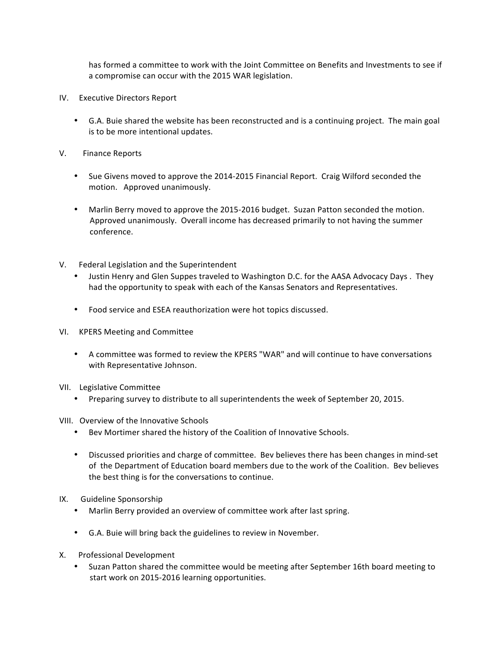has formed a committee to work with the Joint Committee on Benefits and Investments to see if a compromise can occur with the 2015 WAR legislation.

- IV. Executive Directors Report
	- G.A. Buie shared the website has been reconstructed and is a continuing project. The main goal is to be more intentional updates.
- V. Finance Reports
	- Sue Givens moved to approve the 2014-2015 Financial Report. Craig Wilford seconded the motion. Approved unanimously.
	- Marlin Berry moved to approve the 2015-2016 budget. Suzan Patton seconded the motion. Approved unanimously. Overall income has decreased primarily to not having the summer conference.
- V. Federal Legislation and the Superintendent
	- Justin Henry and Glen Suppes traveled to Washington D.C. for the AASA Advocacy Days. They had the opportunity to speak with each of the Kansas Senators and Representatives.
	- Food service and ESEA reauthorization were hot topics discussed.
- VI. KPERS Meeting and Committee
	- A committee was formed to review the KPERS "WAR" and will continue to have conversations with Representative Johnson.
- VII. Legislative Committee
	- Preparing survey to distribute to all superintendents the week of September 20, 2015.
- VIII. Overview of the Innovative Schools
	- Bev Mortimer shared the history of the Coalition of Innovative Schools.
	- Discussed priorities and charge of committee. Bev believes there has been changes in mind-set of the Department of Education board members due to the work of the Coalition. Bev believes the best thing is for the conversations to continue.
- IX. Guideline Sponsorship
	- Marlin Berry provided an overview of committee work after last spring.
	- G.A. Buie will bring back the guidelines to review in November.
- X. Professional Development
	- Suzan Patton shared the committee would be meeting after September 16th board meeting to start work on 2015-2016 learning opportunities.